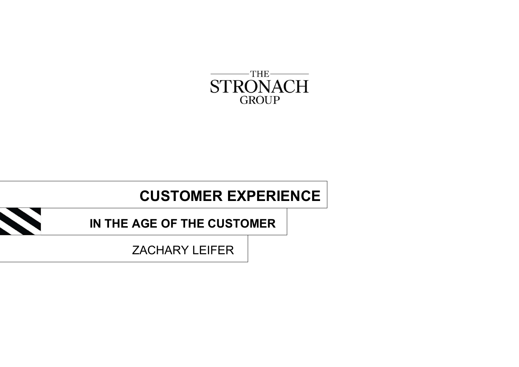

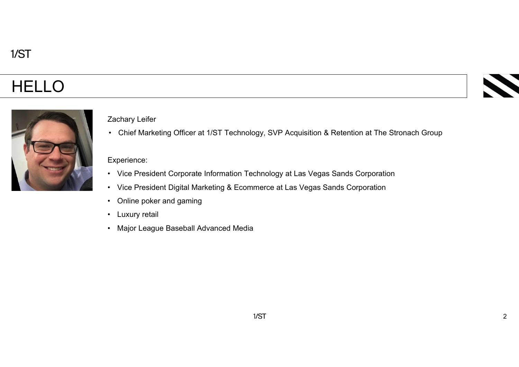# HELLO



### Zachary Leifer

Zachary Leifer<br>• Chief Marketing Officer at 1/ST Technology, SVP Acquisition & Retention at The Stronach Group<br>Experience:<br>• Vice Precident Compaste Information Technology at Lee Voges Sands Compastion Fachary Leifer<br>• Chief Marketing Officer at 1/ST Technology, SVP Acquisition & Retention at The Stronach Group<br>• Vice President Corporate Information Technology at Las Vegas Sands Corporation<br>• Vice President Digital Marke Experience:<br>• Chief Marketing Officer at 1/ST Technology, SVP Acquisition & Retention at The Stronach Group<br>• Vice President Corporate Information Technology at Las Vegas Sands Corporation<br>• Online poker and gaming<br>• Marke Exachary Leifer<br>• Chief Marketing Officer at 1/ST Technology, SVP Acquisition<br>• Vice President Corporate Information Technology at Las Veg<br>• Vice President Digital Marketing & Ecommerce at Las Vegas<br>• Online poker and gami Experience:<br>
• Chief Marketing Officer at 1/ST Technology, SVP Acquisition<br>
• Vice President Corporate Information Technology at Las Vegas<br>
• Vice President Digital Marketing & Ecommerce at Las Vegas<br>
• Chine poker and gam Exachary Leifer<br>• Chief Marketing Officer at 1/ST Technology, SVP Acquisition<br>• Vice President Corporate Information Technology at Las Veg<br>• Vice President Digital Marketing & Ecommerce at Las Vegas<br>• Online poker and gam

#### Experience:

- 
- 
- 
- 
-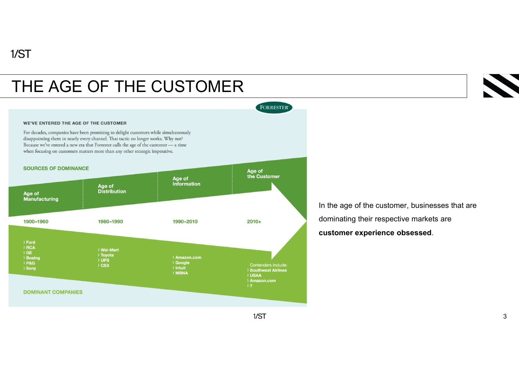## THE AGE OF THE CUSTOMER



In the age of the customer, businesses that are dominating their respective markets are customer experience obsessed.

 $1/ST$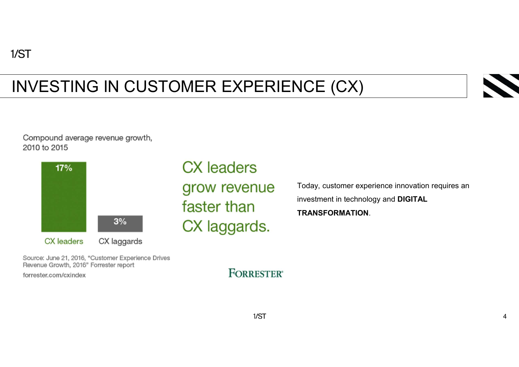# INVESTING IN CUSTOMER EXPERIENCE (CX)





**CX** leaders grow revenue faster than CX laggards.

Today, customer experience innovation requires an investment in technology and DIGITAL

TRANSFORMATION.

Source: June 21, 2016, "Customer Experience Drives Revenue Growth, 2016" Forrester report

forrester.com/cxindex

**FORRESTER**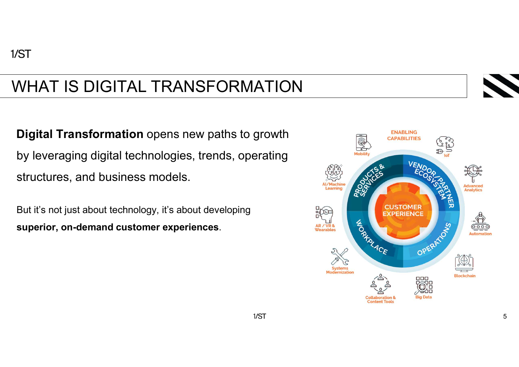# WHAT IS DIGITAL TRANSFORMATION

Digital Transformation opens new paths to growth by leveraging digital technologies, trends, operating structures, and business models.

But it's not just about technology, it's about developing superior, on-demand customer experiences.